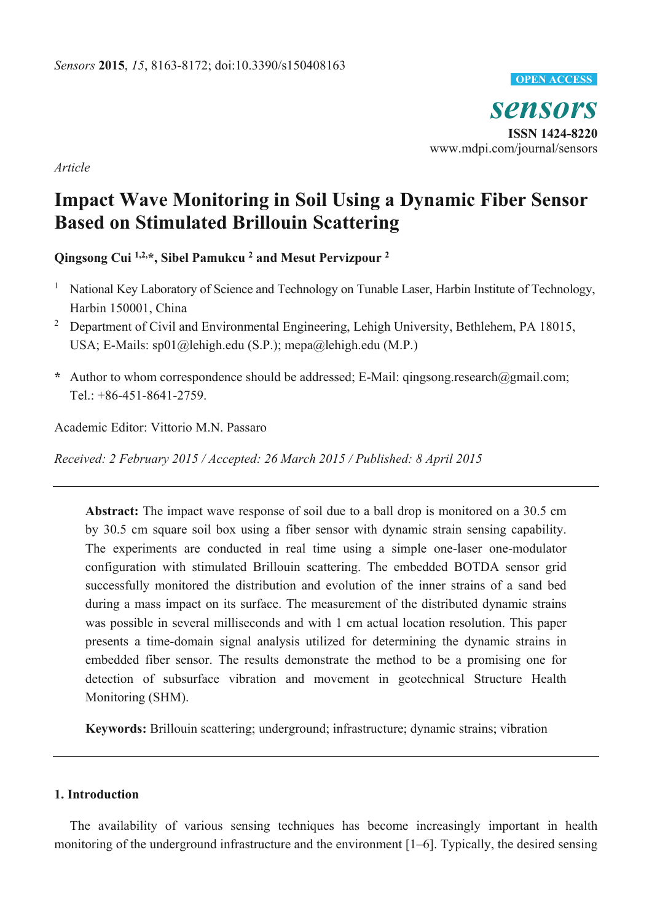

*Article* 

# **Impact Wave Monitoring in Soil Using a Dynamic Fiber Sensor Based on Stimulated Brillouin Scattering**

**Qingsong Cui 1,2,\*, Sibel Pamukcu 2 and Mesut Pervizpour 2**

- <sup>1</sup> National Key Laboratory of Science and Technology on Tunable Laser, Harbin Institute of Technology, Harbin 150001, China
- <sup>2</sup> Department of Civil and Environmental Engineering, Lehigh University, Bethlehem, PA 18015, USA; E-Mails: sp01@lehigh.edu (S.P.); mepa@lehigh.edu (M.P.)
- **\*** Author to whom correspondence should be addressed; E-Mail: qingsong.research@gmail.com; Tel.: +86-451-8641-2759.

Academic Editor: Vittorio M.N. Passaro

*Received: 2 February 2015 / Accepted: 26 March 2015 / Published: 8 April 2015* 

**Abstract:** The impact wave response of soil due to a ball drop is monitored on a 30.5 cm by 30.5 cm square soil box using a fiber sensor with dynamic strain sensing capability. The experiments are conducted in real time using a simple one-laser one-modulator configuration with stimulated Brillouin scattering. The embedded BOTDA sensor grid successfully monitored the distribution and evolution of the inner strains of a sand bed during a mass impact on its surface. The measurement of the distributed dynamic strains was possible in several milliseconds and with 1 cm actual location resolution. This paper presents a time-domain signal analysis utilized for determining the dynamic strains in embedded fiber sensor. The results demonstrate the method to be a promising one for detection of subsurface vibration and movement in geotechnical Structure Health Monitoring (SHM).

**Keywords:** Brillouin scattering; underground; infrastructure; dynamic strains; vibration

# **1. Introduction**

The availability of various sensing techniques has become increasingly important in health monitoring of the underground infrastructure and the environment [1–6]. Typically, the desired sensing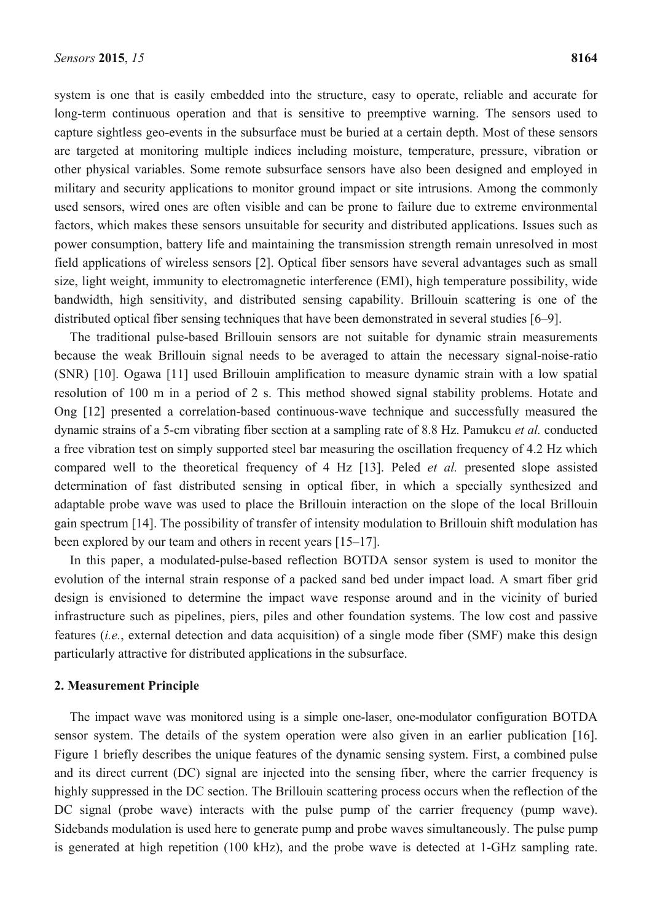system is one that is easily embedded into the structure, easy to operate, reliable and accurate for long-term continuous operation and that is sensitive to preemptive warning. The sensors used to capture sightless geo-events in the subsurface must be buried at a certain depth. Most of these sensors are targeted at monitoring multiple indices including moisture, temperature, pressure, vibration or other physical variables. Some remote subsurface sensors have also been designed and employed in military and security applications to monitor ground impact or site intrusions. Among the commonly used sensors, wired ones are often visible and can be prone to failure due to extreme environmental factors, which makes these sensors unsuitable for security and distributed applications. Issues such as power consumption, battery life and maintaining the transmission strength remain unresolved in most field applications of wireless sensors [2]. Optical fiber sensors have several advantages such as small size, light weight, immunity to electromagnetic interference (EMI), high temperature possibility, wide bandwidth, high sensitivity, and distributed sensing capability. Brillouin scattering is one of the distributed optical fiber sensing techniques that have been demonstrated in several studies [6–9].

The traditional pulse-based Brillouin sensors are not suitable for dynamic strain measurements because the weak Brillouin signal needs to be averaged to attain the necessary signal-noise-ratio (SNR) [10]. Ogawa [11] used Brillouin amplification to measure dynamic strain with a low spatial resolution of 100 m in a period of 2 s. This method showed signal stability problems. Hotate and Ong [12] presented a correlation-based continuous-wave technique and successfully measured the dynamic strains of a 5-cm vibrating fiber section at a sampling rate of 8.8 Hz. Pamukcu *et al.* conducted a free vibration test on simply supported steel bar measuring the oscillation frequency of 4.2 Hz which compared well to the theoretical frequency of 4 Hz [13]. Peled *et al.* presented slope assisted determination of fast distributed sensing in optical fiber, in which a specially synthesized and adaptable probe wave was used to place the Brillouin interaction on the slope of the local Brillouin gain spectrum [14]. The possibility of transfer of intensity modulation to Brillouin shift modulation has been explored by our team and others in recent years [15–17].

In this paper, a modulated-pulse-based reflection BOTDA sensor system is used to monitor the evolution of the internal strain response of a packed sand bed under impact load. A smart fiber grid design is envisioned to determine the impact wave response around and in the vicinity of buried infrastructure such as pipelines, piers, piles and other foundation systems. The low cost and passive features (*i.e.*, external detection and data acquisition) of a single mode fiber (SMF) make this design particularly attractive for distributed applications in the subsurface.

#### **2. Measurement Principle**

The impact wave was monitored using is a simple one-laser, one-modulator configuration BOTDA sensor system. The details of the system operation were also given in an earlier publication [16]. Figure 1 briefly describes the unique features of the dynamic sensing system. First, a combined pulse and its direct current (DC) signal are injected into the sensing fiber, where the carrier frequency is highly suppressed in the DC section. The Brillouin scattering process occurs when the reflection of the DC signal (probe wave) interacts with the pulse pump of the carrier frequency (pump wave). Sidebands modulation is used here to generate pump and probe waves simultaneously. The pulse pump is generated at high repetition (100 kHz), and the probe wave is detected at 1-GHz sampling rate.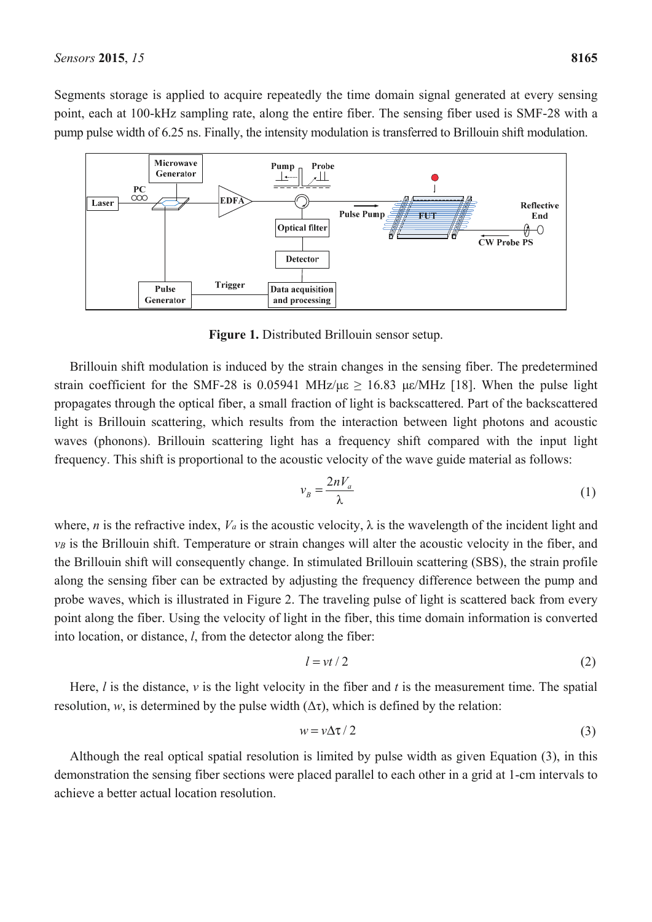Segments storage is applied to acquire repeatedly the time domain signal generated at every sensing point, each at 100-kHz sampling rate, along the entire fiber. The sensing fiber used is SMF-28 with a pump pulse width of 6.25 ns. Finally, the intensity modulation is transferred to Brillouin shift modulation.



**Figure 1.** Distributed Brillouin sensor setup.

Brillouin shift modulation is induced by the strain changes in the sensing fiber. The predetermined strain coefficient for the SMF-28 is 0.05941 MHz/με  $\geq$  16.83 με/MHz [18]. When the pulse light propagates through the optical fiber, a small fraction of light is backscattered. Part of the backscattered light is Brillouin scattering, which results from the interaction between light photons and acoustic waves (phonons). Brillouin scattering light has a frequency shift compared with the input light frequency. This shift is proportional to the acoustic velocity of the wave guide material as follows:

$$
v_B = \frac{2nV_a}{\lambda} \tag{1}
$$

where, *n* is the refractive index,  $V_a$  is the acoustic velocity,  $\lambda$  is the wavelength of the incident light and *νB* is the Brillouin shift. Temperature or strain changes will alter the acoustic velocity in the fiber, and the Brillouin shift will consequently change. In stimulated Brillouin scattering (SBS), the strain profile along the sensing fiber can be extracted by adjusting the frequency difference between the pump and probe waves, which is illustrated in Figure 2. The traveling pulse of light is scattered back from every point along the fiber. Using the velocity of light in the fiber, this time domain information is converted into location, or distance, *l*, from the detector along the fiber:

$$
l = vt/2 \tag{2}
$$

Here, *l* is the distance, *ν* is the light velocity in the fiber and *t* is the measurement time. The spatial resolution, *w*, is determined by the pulse width  $(\Delta \tau)$ , which is defined by the relation:

$$
w = \nu \Delta \tau / 2 \tag{3}
$$

Although the real optical spatial resolution is limited by pulse width as given Equation (3), in this demonstration the sensing fiber sections were placed parallel to each other in a grid at 1-cm intervals to achieve a better actual location resolution.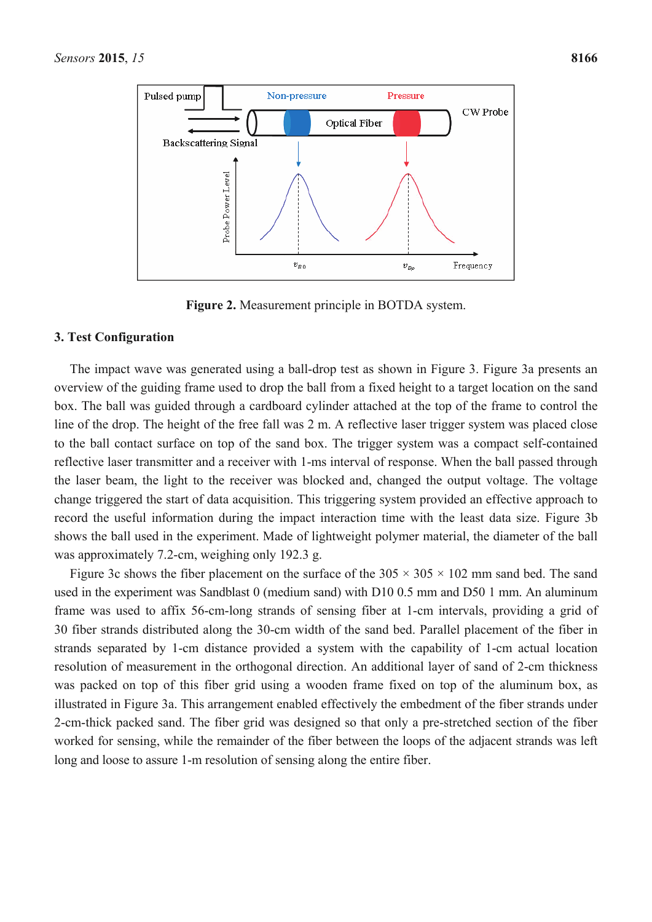

**Figure 2.** Measurement principle in BOTDA system.

### **3. Test Configuration**

The impact wave was generated using a ball-drop test as shown in Figure 3. Figure 3a presents an overview of the guiding frame used to drop the ball from a fixed height to a target location on the sand box. The ball was guided through a cardboard cylinder attached at the top of the frame to control the line of the drop. The height of the free fall was 2 m. A reflective laser trigger system was placed close to the ball contact surface on top of the sand box. The trigger system was a compact self-contained reflective laser transmitter and a receiver with 1-ms interval of response. When the ball passed through the laser beam, the light to the receiver was blocked and, changed the output voltage. The voltage change triggered the start of data acquisition. This triggering system provided an effective approach to record the useful information during the impact interaction time with the least data size. Figure 3b shows the ball used in the experiment. Made of lightweight polymer material, the diameter of the ball was approximately 7.2-cm, weighing only 192.3 g.

Figure 3c shows the fiber placement on the surface of the  $305 \times 305 \times 102$  mm sand bed. The sand used in the experiment was Sandblast 0 (medium sand) with D10 0.5 mm and D50 1 mm. An aluminum frame was used to affix 56-cm-long strands of sensing fiber at 1-cm intervals, providing a grid of 30 fiber strands distributed along the 30-cm width of the sand bed. Parallel placement of the fiber in strands separated by 1-cm distance provided a system with the capability of 1-cm actual location resolution of measurement in the orthogonal direction. An additional layer of sand of 2-cm thickness was packed on top of this fiber grid using a wooden frame fixed on top of the aluminum box, as illustrated in Figure 3a. This arrangement enabled effectively the embedment of the fiber strands under 2-cm-thick packed sand. The fiber grid was designed so that only a pre-stretched section of the fiber worked for sensing, while the remainder of the fiber between the loops of the adjacent strands was left long and loose to assure 1-m resolution of sensing along the entire fiber.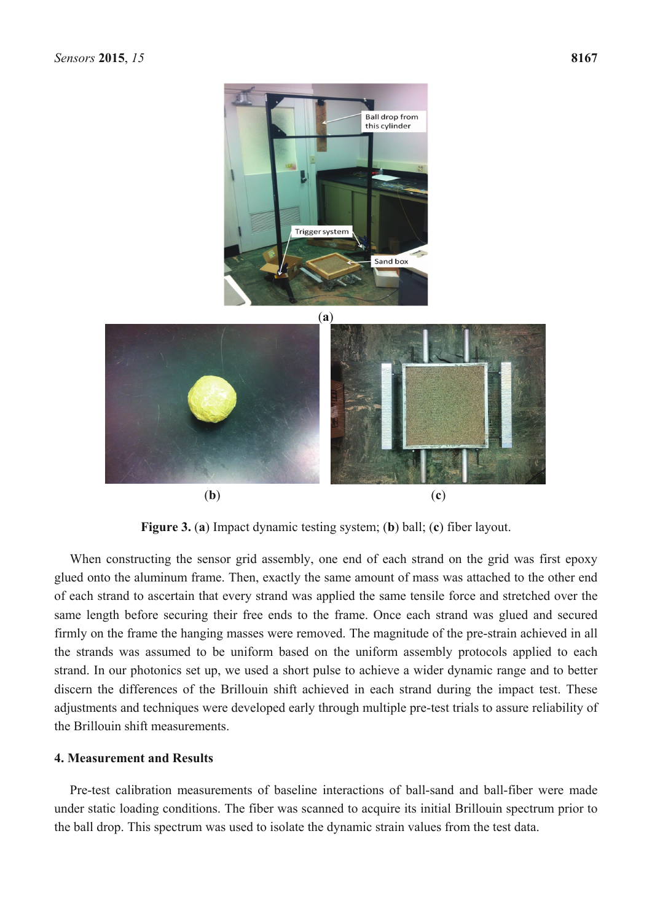

**Figure 3.** (**a**) Impact dynamic testing system; (**b**) ball; (**c**) fiber layout.

When constructing the sensor grid assembly, one end of each strand on the grid was first epoxy glued onto the aluminum frame. Then, exactly the same amount of mass was attached to the other end of each strand to ascertain that every strand was applied the same tensile force and stretched over the same length before securing their free ends to the frame. Once each strand was glued and secured firmly on the frame the hanging masses were removed. The magnitude of the pre-strain achieved in all the strands was assumed to be uniform based on the uniform assembly protocols applied to each strand. In our photonics set up, we used a short pulse to achieve a wider dynamic range and to better discern the differences of the Brillouin shift achieved in each strand during the impact test. These adjustments and techniques were developed early through multiple pre-test trials to assure reliability of the Brillouin shift measurements.

#### **4. Measurement and Results**

Pre-test calibration measurements of baseline interactions of ball-sand and ball-fiber were made under static loading conditions. The fiber was scanned to acquire its initial Brillouin spectrum prior to the ball drop. This spectrum was used to isolate the dynamic strain values from the test data.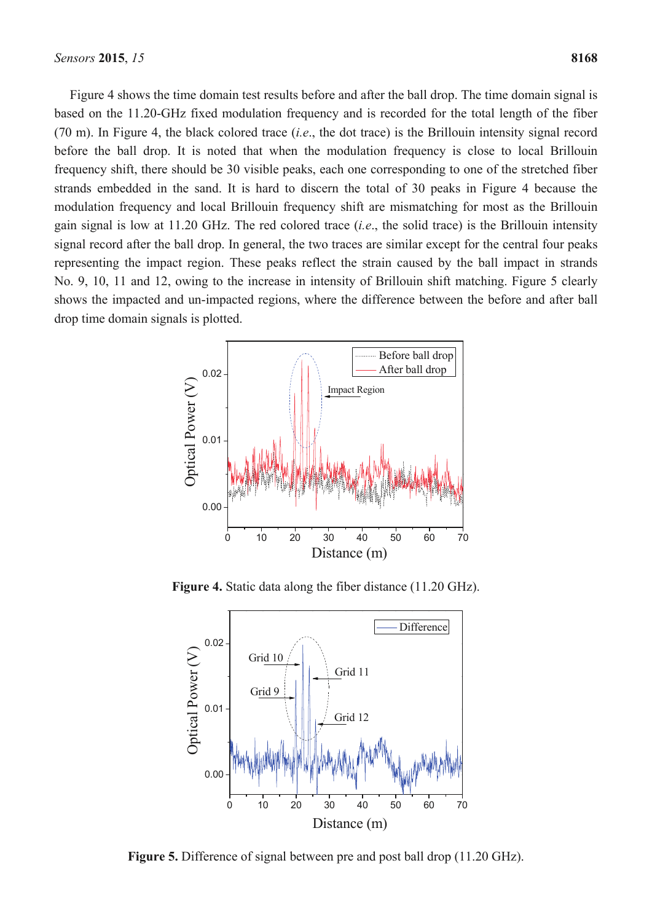Figure 4 shows the time domain test results before and after the ball drop. The time domain signal is based on the 11.20-GHz fixed modulation frequency and is recorded for the total length of the fiber (70 m). In Figure 4, the black colored trace (*i.e*., the dot trace) is the Brillouin intensity signal record before the ball drop. It is noted that when the modulation frequency is close to local Brillouin frequency shift, there should be 30 visible peaks, each one corresponding to one of the stretched fiber strands embedded in the sand. It is hard to discern the total of 30 peaks in Figure 4 because the modulation frequency and local Brillouin frequency shift are mismatching for most as the Brillouin gain signal is low at 11.20 GHz. The red colored trace (*i.e*., the solid trace) is the Brillouin intensity signal record after the ball drop. In general, the two traces are similar except for the central four peaks representing the impact region. These peaks reflect the strain caused by the ball impact in strands No. 9, 10, 11 and 12, owing to the increase in intensity of Brillouin shift matching. Figure 5 clearly shows the impacted and un-impacted regions, where the difference between the before and after ball drop time domain signals is plotted.



**Figure 4.** Static data along the fiber distance (11.20 GHz).



**Figure 5.** Difference of signal between pre and post ball drop (11.20 GHz).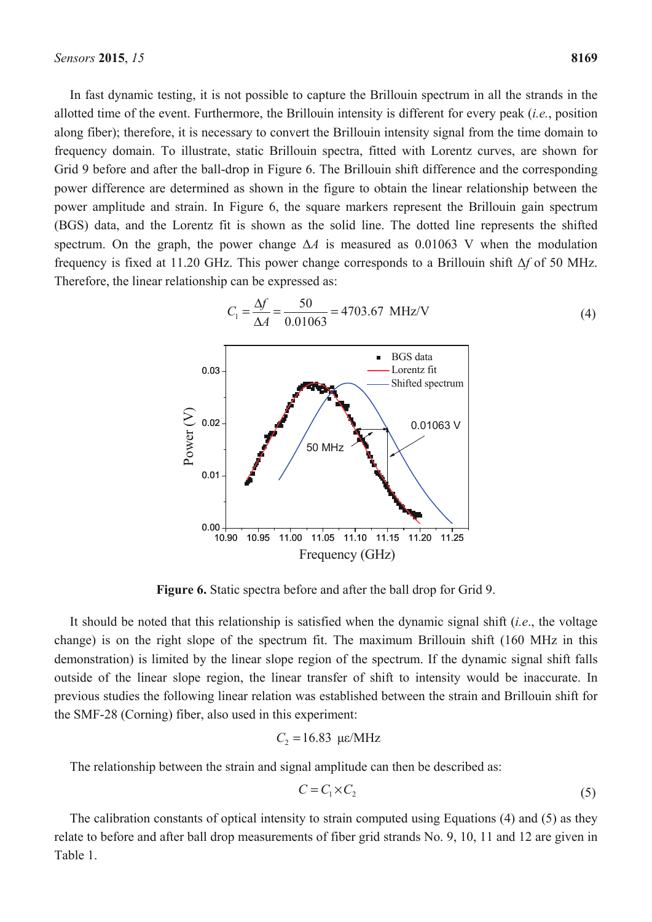In fast dynamic testing, it is not possible to capture the Brillouin spectrum in all the strands in the allotted time of the event. Furthermore, the Brillouin intensity is different for every peak (*i.e.*, position along fiber); therefore, it is necessary to convert the Brillouin intensity signal from the time domain to frequency domain. To illustrate, static Brillouin spectra, fitted with Lorentz curves, are shown for Grid 9 before and after the ball-drop in Figure 6. The Brillouin shift difference and the corresponding power difference are determined as shown in the figure to obtain the linear relationship between the power amplitude and strain. In Figure 6, the square markers represent the Brillouin gain spectrum (BGS) data, and the Lorentz fit is shown as the solid line. The dotted line represents the shifted spectrum. On the graph, the power change  $\Delta A$  is measured as 0.01063 V when the modulation frequency is fixed at 11.20 GHz. This power change corresponds to a Brillouin shift Δ*f* of 50 MHz. Therefore, the linear relationship can be expressed as:



**Figure 6.** Static spectra before and after the ball drop for Grid 9.

It should be noted that this relationship is satisfied when the dynamic signal shift (*i.e*., the voltage change) is on the right slope of the spectrum fit. The maximum Brillouin shift (160 MHz in this demonstration) is limited by the linear slope region of the spectrum. If the dynamic signal shift falls outside of the linear slope region, the linear transfer of shift to intensity would be inaccurate. In previous studies the following linear relation was established between the strain and Brillouin shift for the SMF-28 (Corning) fiber, also used in this experiment:

$$
C_2 = 16.83 \text{ }\mu\text{c/MHz}
$$

The relationship between the strain and signal amplitude can then be described as:

$$
C = C_1 \times C_2 \tag{5}
$$

The calibration constants of optical intensity to strain computed using Equations (4) and (5) as they relate to before and after ball drop measurements of fiber grid strands No. 9, 10, 11 and 12 are given in Table 1.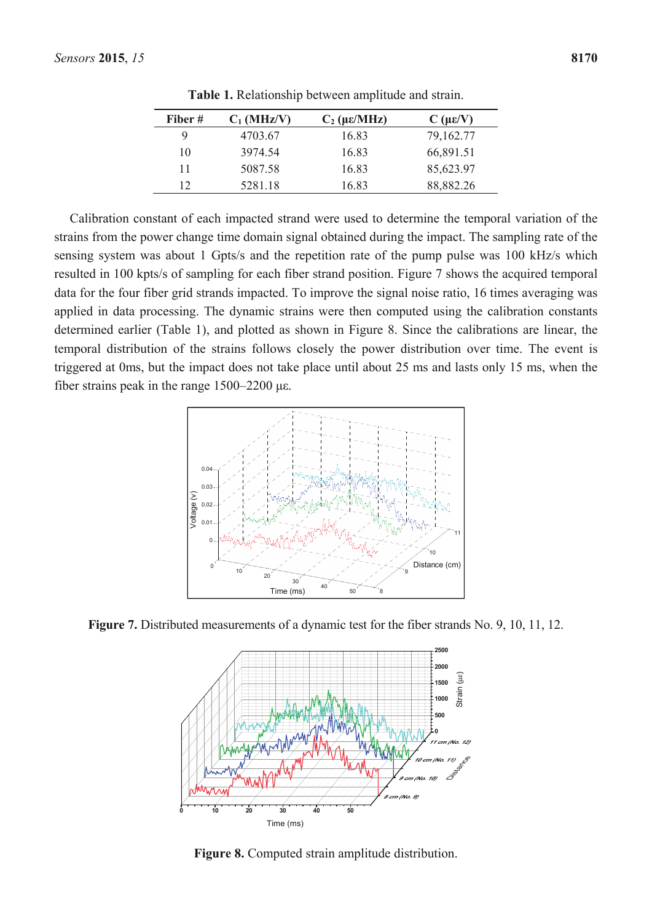| Fiber # | $C_1$ (MHz/V) | $C_2$ ( $\mu \varepsilon$ /MHz) | $C(\mu\epsilon/V)$ |
|---------|---------------|---------------------------------|--------------------|
| 9       | 4703.67       | 16.83                           | 79,162.77          |
| 10      | 3974.54       | 16.83                           | 66,891.51          |
| 11      | 5087.58       | 16.83                           | 85,623.97          |
| 12      | 5281.18       | 16.83                           | 88,882.26          |

**Table 1.** Relationship between amplitude and strain.

Calibration constant of each impacted strand were used to determine the temporal variation of the strains from the power change time domain signal obtained during the impact. The sampling rate of the sensing system was about 1 Gpts/s and the repetition rate of the pump pulse was 100 kHz/s which resulted in 100 kpts/s of sampling for each fiber strand position. Figure 7 shows the acquired temporal data for the four fiber grid strands impacted. To improve the signal noise ratio, 16 times averaging was applied in data processing. The dynamic strains were then computed using the calibration constants determined earlier (Table 1), and plotted as shown in Figure 8. Since the calibrations are linear, the temporal distribution of the strains follows closely the power distribution over time. The event is triggered at 0ms, but the impact does not take place until about 25 ms and lasts only 15 ms, when the fiber strains peak in the range 1500–2200 με.



**Figure 7.** Distributed measurements of a dynamic test for the fiber strands No. 9, 10, 11, 12.



**Figure 8.** Computed strain amplitude distribution.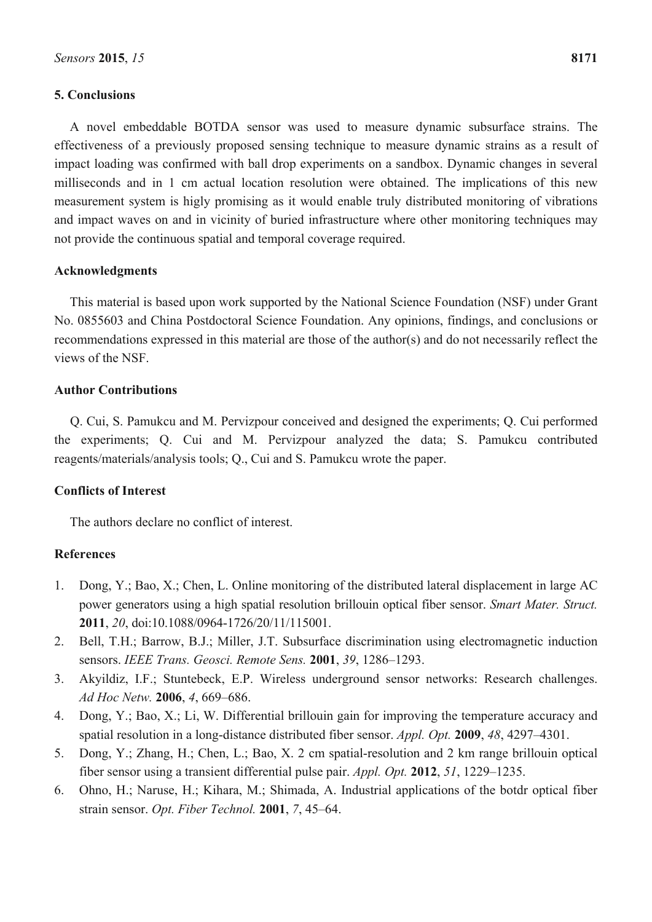# **5. Conclusions**

A novel embeddable BOTDA sensor was used to measure dynamic subsurface strains. The effectiveness of a previously proposed sensing technique to measure dynamic strains as a result of impact loading was confirmed with ball drop experiments on a sandbox. Dynamic changes in several milliseconds and in 1 cm actual location resolution were obtained. The implications of this new measurement system is higly promising as it would enable truly distributed monitoring of vibrations and impact waves on and in vicinity of buried infrastructure where other monitoring techniques may not provide the continuous spatial and temporal coverage required.

# **Acknowledgments**

This material is based upon work supported by the National Science Foundation (NSF) under Grant No. 0855603 and China Postdoctoral Science Foundation. Any opinions, findings, and conclusions or recommendations expressed in this material are those of the author(s) and do not necessarily reflect the views of the NSF.

# **Author Contributions**

Q. Cui, S. Pamukcu and M. Pervizpour conceived and designed the experiments; Q. Cui performed the experiments; Q. Cui and M. Pervizpour analyzed the data; S. Pamukcu contributed reagents/materials/analysis tools; Q., Cui and S. Pamukcu wrote the paper.

# **Conflicts of Interest**

The authors declare no conflict of interest.

# **References**

- 1. Dong, Y.; Bao, X.; Chen, L. Online monitoring of the distributed lateral displacement in large AC power generators using a high spatial resolution brillouin optical fiber sensor. *Smart Mater. Struct.*  **2011**, *20*, doi:10.1088/0964-1726/20/11/115001.
- 2. Bell, T.H.; Barrow, B.J.; Miller, J.T. Subsurface discrimination using electromagnetic induction sensors. *IEEE Trans. Geosci. Remote Sens.* **2001**, *39*, 1286–1293.
- 3. Akyildiz, I.F.; Stuntebeck, E.P. Wireless underground sensor networks: Research challenges. *Ad Hoc Netw.* **2006**, *4*, 669–686.
- 4. Dong, Y.; Bao, X.; Li, W. Differential brillouin gain for improving the temperature accuracy and spatial resolution in a long-distance distributed fiber sensor. *Appl. Opt.* **2009**, *48*, 4297–4301.
- 5. Dong, Y.; Zhang, H.; Chen, L.; Bao, X. 2 cm spatial-resolution and 2 km range brillouin optical fiber sensor using a transient differential pulse pair. *Appl. Opt.* **2012**, *51*, 1229–1235.
- 6. Ohno, H.; Naruse, H.; Kihara, M.; Shimada, A. Industrial applications of the botdr optical fiber strain sensor. *Opt. Fiber Technol.* **2001**, *7*, 45–64.